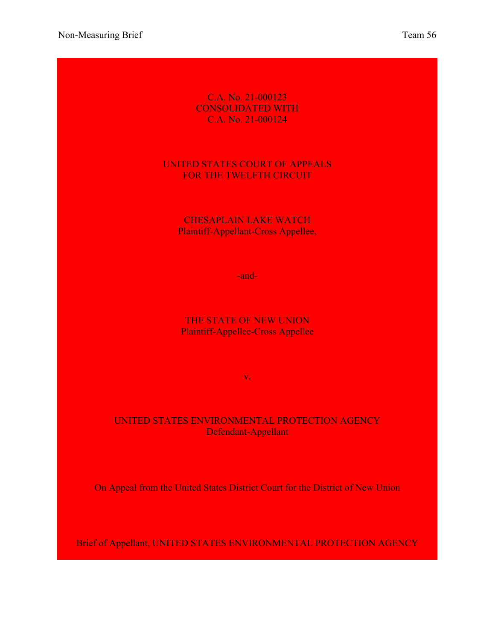Non-Measuring Brief Team 56

### C.A. No. 21-000123 CONSOLIDATED WITH C.A. No. 21-000124

## UNITED STATES COURT OF APPEALS FOR THE TWELFTH CIRCUIT

## CHESAPLAIN LAKE WATCH Plaintiff-Appellant-Cross Appellee,

-and-

## THE STATE OF NEW UNION Plaintiff-Appellee-Cross Appellee

v.

## UNITED STATES ENVIRONMENTAL PROTECTION AGENCY Defendant-Appellant

On Appeal from the United States District Court for the District of New Union

Brief of Appellant, UNITED STATES ENVIRONMENTAL PROTECTION AGENCY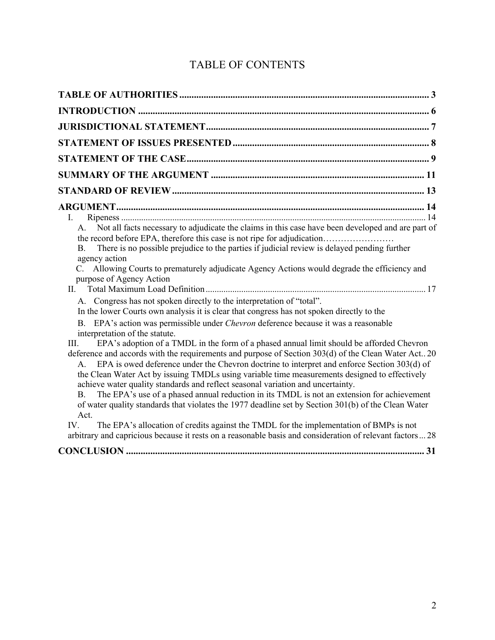# TABLE OF CONTENTS

| Ι.                                                                                                                                                                                                                                                                                                                                                                                                                                                                                                                                                                                                                                                                                                                                  |
|-------------------------------------------------------------------------------------------------------------------------------------------------------------------------------------------------------------------------------------------------------------------------------------------------------------------------------------------------------------------------------------------------------------------------------------------------------------------------------------------------------------------------------------------------------------------------------------------------------------------------------------------------------------------------------------------------------------------------------------|
| Not all facts necessary to adjudicate the claims in this case have been developed and are part of<br>A.<br>the record before EPA, therefore this case is not ripe for adjudication<br>There is no possible prejudice to the parties if judicial review is delayed pending further<br>B.<br>agency action<br>Allowing Courts to prematurely adjudicate Agency Actions would degrade the efficiency and<br>purpose of Agency Action                                                                                                                                                                                                                                                                                                   |
| II.<br>A. Congress has not spoken directly to the interpretation of "total".                                                                                                                                                                                                                                                                                                                                                                                                                                                                                                                                                                                                                                                        |
| In the lower Courts own analysis it is clear that congress has not spoken directly to the                                                                                                                                                                                                                                                                                                                                                                                                                                                                                                                                                                                                                                           |
| B. EPA's action was permissible under <i>Chevron</i> deference because it was a reasonable<br>interpretation of the statute.                                                                                                                                                                                                                                                                                                                                                                                                                                                                                                                                                                                                        |
| EPA's adoption of a TMDL in the form of a phased annual limit should be afforded Chevron<br>III.<br>deference and accords with the requirements and purpose of Section 303(d) of the Clean Water Act 20<br>EPA is owed deference under the Chevron doctrine to interpret and enforce Section 303(d) of<br>$A_{\cdot}$<br>the Clean Water Act by issuing TMDLs using variable time measurements designed to effectively<br>achieve water quality standards and reflect seasonal variation and uncertainty.<br>The EPA's use of a phased annual reduction in its TMDL is not an extension for achievement<br><b>B.</b><br>of water quality standards that violates the 1977 deadline set by Section 301(b) of the Clean Water<br>Act. |
| The EPA's allocation of credits against the TMDL for the implementation of BMPs is not<br>IV.<br>arbitrary and capricious because it rests on a reasonable basis and consideration of relevant factors28                                                                                                                                                                                                                                                                                                                                                                                                                                                                                                                            |
|                                                                                                                                                                                                                                                                                                                                                                                                                                                                                                                                                                                                                                                                                                                                     |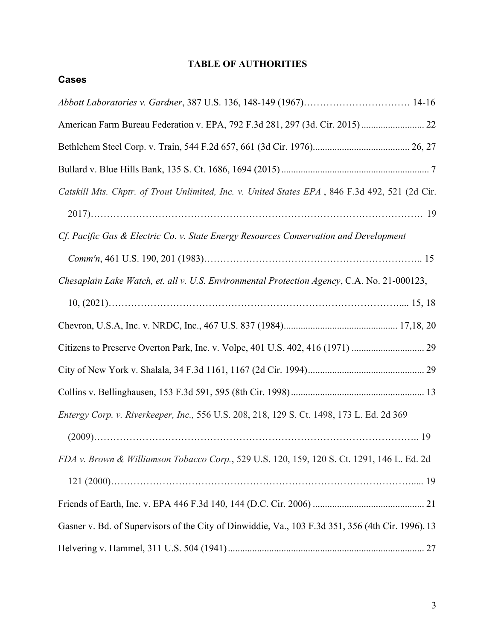## **TABLE OF AUTHORITIES**

| Catskill Mts. Chptr. of Trout Unlimited, Inc. v. United States EPA, 846 F.3d 492, 521 (2d Cir.    |
|---------------------------------------------------------------------------------------------------|
|                                                                                                   |
| Cf. Pacific Gas & Electric Co. v. State Energy Resources Conservation and Development             |
|                                                                                                   |
| Chesaplain Lake Watch, et. all v. U.S. Environmental Protection Agency, C.A. No. 21-000123,       |
|                                                                                                   |
|                                                                                                   |
|                                                                                                   |
|                                                                                                   |
|                                                                                                   |
| Entergy Corp. v. Riverkeeper, Inc., 556 U.S. 208, 218, 129 S. Ct. 1498, 173 L. Ed. 2d 369         |
|                                                                                                   |
| FDA v. Brown & Williamson Tobacco Corp., 529 U.S. 120, 159, 120 S. Ct. 1291, 146 L. Ed. 2d        |
|                                                                                                   |
|                                                                                                   |
| Gasner v. Bd. of Supervisors of the City of Dinwiddie, Va., 103 F.3d 351, 356 (4th Cir. 1996). 13 |
|                                                                                                   |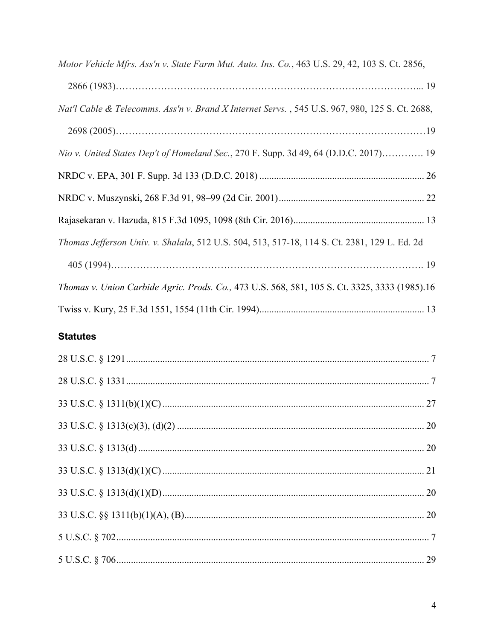| Motor Vehicle Mfrs. Ass'n v. State Farm Mut. Auto. Ins. Co., 463 U.S. 29, 42, 103 S. Ct. 2856, |
|------------------------------------------------------------------------------------------------|
|                                                                                                |
| Nat'l Cable & Telecomms. Ass'n v. Brand X Internet Servs., 545 U.S. 967, 980, 125 S. Ct. 2688, |
|                                                                                                |
| Nio v. United States Dep't of Homeland Sec., 270 F. Supp. 3d 49, 64 (D.D.C. 2017) 19           |
|                                                                                                |
|                                                                                                |
|                                                                                                |
| Thomas Jefferson Univ. v. Shalala, 512 U.S. 504, 513, 517-18, 114 S. Ct. 2381, 129 L. Ed. 2d   |
|                                                                                                |
| Thomas v. Union Carbide Agric. Prods. Co., 473 U.S. 568, 581, 105 S. Ct. 3325, 3333 (1985).16  |
|                                                                                                |

## **Statutes**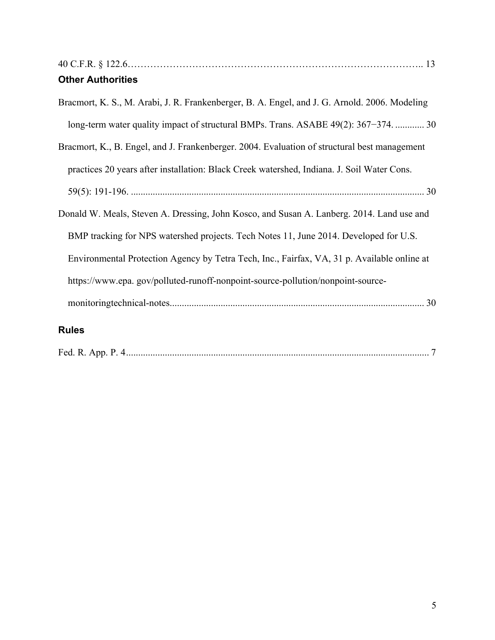| <b>Other Authorities</b>                                                                      |
|-----------------------------------------------------------------------------------------------|
| Bracmort, K. S., M. Arabi, J. R. Frankenberger, B. A. Engel, and J. G. Arnold. 2006. Modeling |
| long-term water quality impact of structural BMPs. Trans. ASABE 49(2): 367-374.  30           |
| Bracmort, K., B. Engel, and J. Frankenberger. 2004. Evaluation of structural best management  |
| practices 20 years after installation: Black Creek watershed, Indiana. J. Soil Water Cons.    |
|                                                                                               |
| Donald W. Meals, Steven A. Dressing, John Kosco, and Susan A. Lanberg. 2014. Land use and     |
| BMP tracking for NPS watershed projects. Tech Notes 11, June 2014. Developed for U.S.         |
| Environmental Protection Agency by Tetra Tech, Inc., Fairfax, VA, 31 p. Available online at   |
| https://www.epa.gov/polluted-runoff-nonpoint-source-pollution/nonpoint-source-                |
|                                                                                               |
| <b>Rules</b>                                                                                  |

| Fed. R. App. P. |  |  |
|-----------------|--|--|
|-----------------|--|--|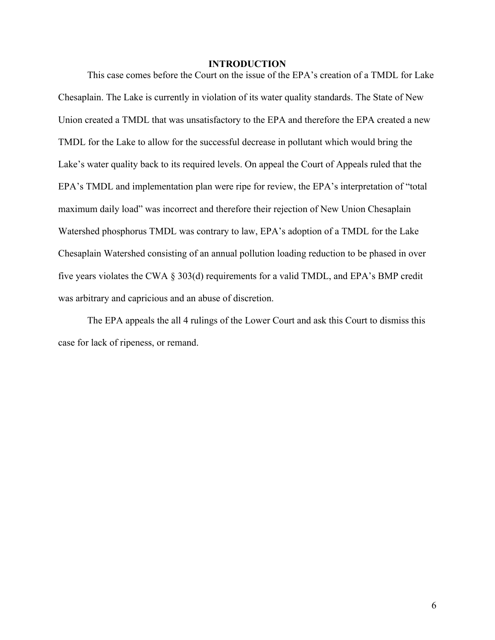#### **INTRODUCTION**

This case comes before the Court on the issue of the EPA's creation of a TMDL for Lake Chesaplain. The Lake is currently in violation of its water quality standards. The State of New Union created a TMDL that was unsatisfactory to the EPA and therefore the EPA created a new TMDL for the Lake to allow for the successful decrease in pollutant which would bring the Lake's water quality back to its required levels. On appeal the Court of Appeals ruled that the EPA's TMDL and implementation plan were ripe for review, the EPA's interpretation of "total maximum daily load" was incorrect and therefore their rejection of New Union Chesaplain Watershed phosphorus TMDL was contrary to law, EPA's adoption of a TMDL for the Lake Chesaplain Watershed consisting of an annual pollution loading reduction to be phased in over five years violates the CWA § 303(d) requirements for a valid TMDL, and EPA's BMP credit was arbitrary and capricious and an abuse of discretion.

The EPA appeals the all 4 rulings of the Lower Court and ask this Court to dismiss this case for lack of ripeness, or remand.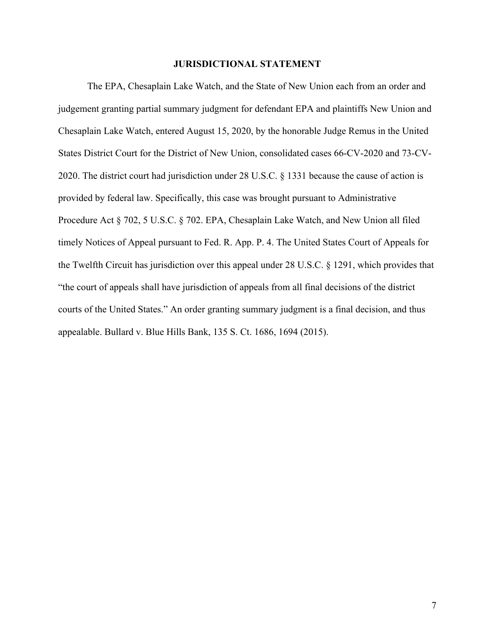#### **JURISDICTIONAL STATEMENT**

The EPA, Chesaplain Lake Watch, and the State of New Union each from an order and judgement granting partial summary judgment for defendant EPA and plaintiffs New Union and Chesaplain Lake Watch, entered August 15, 2020, by the honorable Judge Remus in the United States District Court for the District of New Union, consolidated cases 66-CV-2020 and 73-CV-2020. The district court had jurisdiction under 28 U.S.C. § 1331 because the cause of action is provided by federal law. Specifically, this case was brought pursuant to Administrative Procedure Act § 702, 5 U.S.C. § 702. EPA, Chesaplain Lake Watch, and New Union all filed timely Notices of Appeal pursuant to Fed. R. App. P. 4. The United States Court of Appeals for the Twelfth Circuit has jurisdiction over this appeal under 28 U.S.C. § 1291, which provides that "the court of appeals shall have jurisdiction of appeals from all final decisions of the district courts of the United States." An order granting summary judgment is a final decision, and thus appealable. Bullard v. Blue Hills Bank, 135 S. Ct. 1686, 1694 (2015).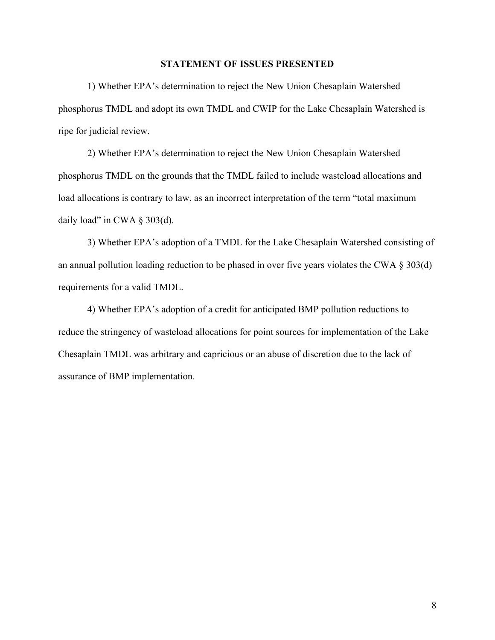#### **STATEMENT OF ISSUES PRESENTED**

1) Whether EPA's determination to reject the New Union Chesaplain Watershed phosphorus TMDL and adopt its own TMDL and CWIP for the Lake Chesaplain Watershed is ripe for judicial review.

2) Whether EPA's determination to reject the New Union Chesaplain Watershed phosphorus TMDL on the grounds that the TMDL failed to include wasteload allocations and load allocations is contrary to law, as an incorrect interpretation of the term "total maximum daily load" in CWA  $\S$  303(d).

3) Whether EPA's adoption of a TMDL for the Lake Chesaplain Watershed consisting of an annual pollution loading reduction to be phased in over five years violates the CWA § 303(d) requirements for a valid TMDL.

4) Whether EPA's adoption of a credit for anticipated BMP pollution reductions to reduce the stringency of wasteload allocations for point sources for implementation of the Lake Chesaplain TMDL was arbitrary and capricious or an abuse of discretion due to the lack of assurance of BMP implementation.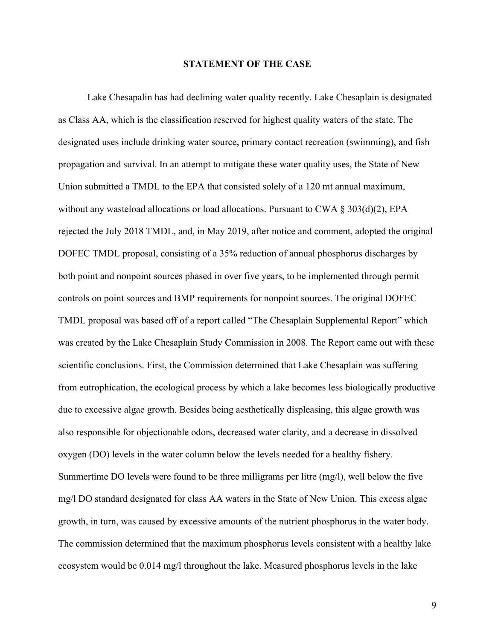#### **STATEMENT OF THE CASE**

Lake Chesapalin has had declining water quality recently. Lake Chesaplain is designated as Class AA, which is the classification reserved for highest quality waters of the state. The designated uses include drinking water source, primary contact recreation (swimming), and fish propagation and survival. In an attempt to mitigate these water quality uses, the State of New Union submitted a TMDL to the EPA that consisted solely of a 120 mt annual maximum, without any wasteload allocations or load allocations. Pursuant to CWA  $\S 303(d)(2)$ , EPA rejected the July 2018 TMDL, and, in May 2019, after notice and comment, adopted the original DOFEC TMDL proposal, consisting of a 35% reduction of annual phosphorus discharges by both point and nonpoint sources phased in over five years, to be implemented through permit controls on point sources and BMP requirements for nonpoint sources. The original DOFEC TMDL proposal was based off of a report called "The Chesaplain Supplemental Report" which was created by the Lake Chesaplain Study Commission in 2008. The Report came out with these scientific conclusions. First, the Commission determined that Lake Chesaplain was suffering from eutrophication, the ecological process by which a lake becomes less biologically productive due to excessive algae growth. Besides being aesthetically displeasing, this algae growth was also responsible for objectionable odors, decreased water clarity, and a decrease in dissolved oxygen (DO) levels in the water column below the levels needed for a healthy fishery. Summertime DO levels were found to be three milligrams per litre (mg/l), well below the five mg/l DO standard designated for class AA waters in the State of New Union. This excess algae growth, in turn, was caused by excessive amounts of the nutrient phosphorus in the water body. The commission determined that the maximum phosphorus levels consistent with a healthy lake ecosystem would be 0.014 mg/l throughout the lake. Measured phosphorus levels in the lake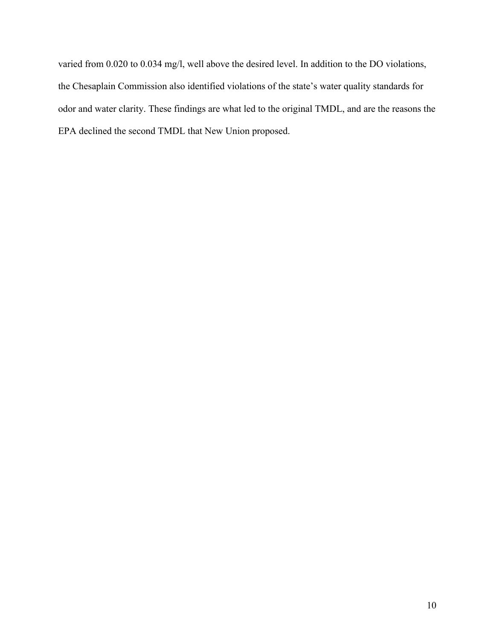varied from 0.020 to 0.034 mg/l, well above the desired level. In addition to the DO violations, the Chesaplain Commission also identified violations of the state's water quality standards for odor and water clarity. These findings are what led to the original TMDL, and are the reasons the EPA declined the second TMDL that New Union proposed.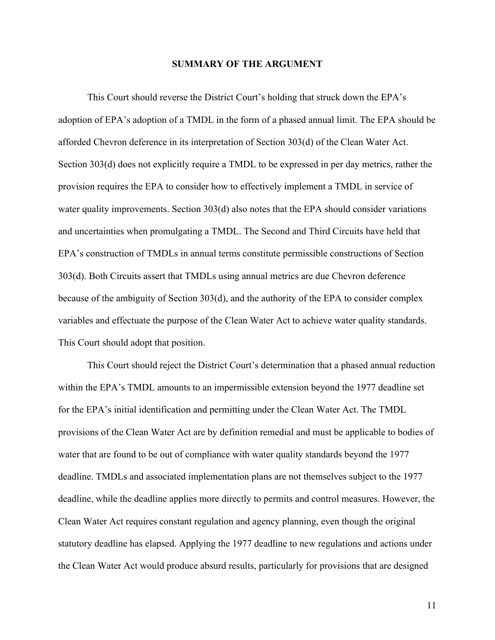#### **SUMMARY OF THE ARGUMENT**

This Court should reverse the District Court's holding that struck down the EPA's adoption of EPA's adoption of a TMDL in the form of a phased annual limit. The EPA should be afforded Chevron deference in its interpretation of Section 303(d) of the Clean Water Act. Section 303(d) does not explicitly require a TMDL to be expressed in per day metrics, rather the provision requires the EPA to consider how to effectively implement a TMDL in service of water quality improvements. Section 303(d) also notes that the EPA should consider variations and uncertainties when promulgating a TMDL. The Second and Third Circuits have held that EPA's construction of TMDLs in annual terms constitute permissible constructions of Section 303(d). Both Circuits assert that TMDLs using annual metrics are due Chevron deference because of the ambiguity of Section 303(d), and the authority of the EPA to consider complex variables and effectuate the purpose of the Clean Water Act to achieve water quality standards. This Court should adopt that position.

This Court should reject the District Court's determination that a phased annual reduction within the EPA's TMDL amounts to an impermissible extension beyond the 1977 deadline set for the EPA's initial identification and permitting under the Clean Water Act. The TMDL provisions of the Clean Water Act are by definition remedial and must be applicable to bodies of water that are found to be out of compliance with water quality standards beyond the 1977 deadline. TMDLs and associated implementation plans are not themselves subject to the 1977 deadline, while the deadline applies more directly to permits and control measures. However, the Clean Water Act requires constant regulation and agency planning, even though the original statutory deadline has elapsed. Applying the 1977 deadline to new regulations and actions under the Clean Water Act would produce absurd results, particularly for provisions that are designed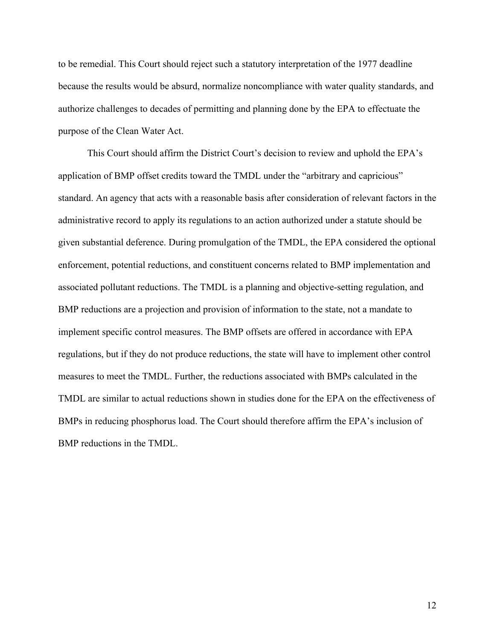to be remedial. This Court should reject such a statutory interpretation of the 1977 deadline because the results would be absurd, normalize noncompliance with water quality standards, and authorize challenges to decades of permitting and planning done by the EPA to effectuate the purpose of the Clean Water Act.

This Court should affirm the District Court's decision to review and uphold the EPA's application of BMP offset credits toward the TMDL under the "arbitrary and capricious" standard. An agency that acts with a reasonable basis after consideration of relevant factors in the administrative record to apply its regulations to an action authorized under a statute should be given substantial deference. During promulgation of the TMDL, the EPA considered the optional enforcement, potential reductions, and constituent concerns related to BMP implementation and associated pollutant reductions. The TMDL is a planning and objective-setting regulation, and BMP reductions are a projection and provision of information to the state, not a mandate to implement specific control measures. The BMP offsets are offered in accordance with EPA regulations, but if they do not produce reductions, the state will have to implement other control measures to meet the TMDL. Further, the reductions associated with BMPs calculated in the TMDL are similar to actual reductions shown in studies done for the EPA on the effectiveness of BMPs in reducing phosphorus load. The Court should therefore affirm the EPA's inclusion of BMP reductions in the TMDL.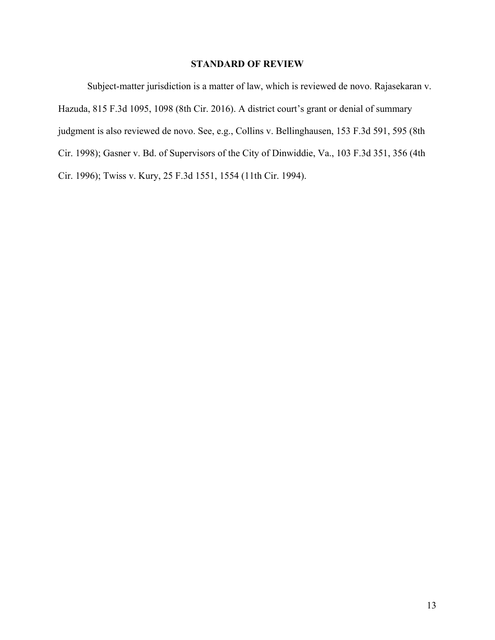## **STANDARD OF REVIEW**

Subject-matter jurisdiction is a matter of law, which is reviewed de novo. Rajasekaran v. Hazuda, 815 F.3d 1095, 1098 (8th Cir. 2016). A district court's grant or denial of summary judgment is also reviewed de novo. See, e.g., Collins v. Bellinghausen, 153 F.3d 591, 595 (8th Cir. 1998); Gasner v. Bd. of Supervisors of the City of Dinwiddie, Va., 103 F.3d 351, 356 (4th Cir. 1996); Twiss v. Kury, 25 F.3d 1551, 1554 (11th Cir. 1994).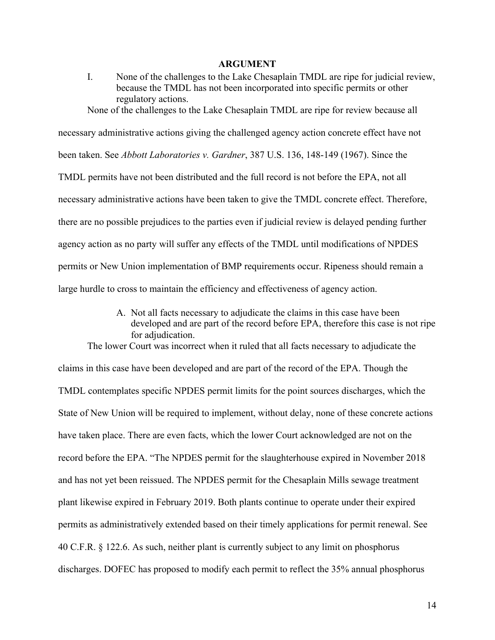#### **ARGUMENT**

I. None of the challenges to the Lake Chesaplain TMDL are ripe for judicial review, because the TMDL has not been incorporated into specific permits or other regulatory actions.

None of the challenges to the Lake Chesaplain TMDL are ripe for review because all

necessary administrative actions giving the challenged agency action concrete effect have not been taken. See *Abbott Laboratories v. Gardner*, 387 U.S. 136, 148-149 (1967). Since the TMDL permits have not been distributed and the full record is not before the EPA, not all necessary administrative actions have been taken to give the TMDL concrete effect. Therefore, there are no possible prejudices to the parties even if judicial review is delayed pending further agency action as no party will suffer any effects of the TMDL until modifications of NPDES permits or New Union implementation of BMP requirements occur. Ripeness should remain a large hurdle to cross to maintain the efficiency and effectiveness of agency action.

> A. Not all facts necessary to adjudicate the claims in this case have been developed and are part of the record before EPA, therefore this case is not ripe for adjudication.

The lower Court was incorrect when it ruled that all facts necessary to adjudicate the claims in this case have been developed and are part of the record of the EPA. Though the TMDL contemplates specific NPDES permit limits for the point sources discharges, which the State of New Union will be required to implement, without delay, none of these concrete actions have taken place. There are even facts, which the lower Court acknowledged are not on the record before the EPA. "The NPDES permit for the slaughterhouse expired in November 2018 and has not yet been reissued. The NPDES permit for the Chesaplain Mills sewage treatment plant likewise expired in February 2019. Both plants continue to operate under their expired permits as administratively extended based on their timely applications for permit renewal. See 40 C.F.R. § 122.6. As such, neither plant is currently subject to any limit on phosphorus discharges. DOFEC has proposed to modify each permit to reflect the 35% annual phosphorus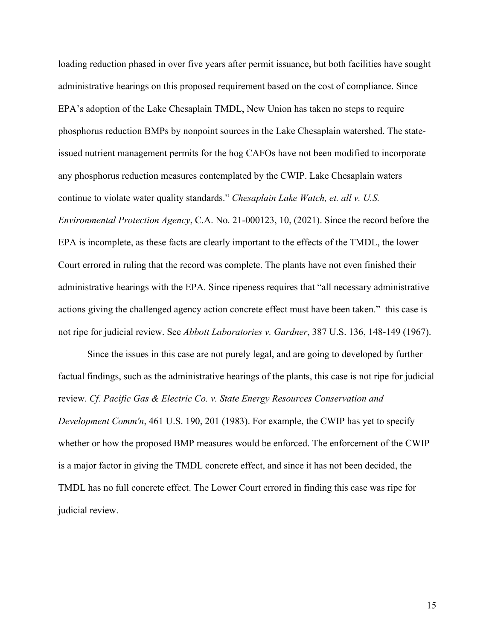loading reduction phased in over five years after permit issuance, but both facilities have sought administrative hearings on this proposed requirement based on the cost of compliance. Since EPA's adoption of the Lake Chesaplain TMDL, New Union has taken no steps to require phosphorus reduction BMPs by nonpoint sources in the Lake Chesaplain watershed. The stateissued nutrient management permits for the hog CAFOs have not been modified to incorporate any phosphorus reduction measures contemplated by the CWIP. Lake Chesaplain waters continue to violate water quality standards." *Chesaplain Lake Watch, et. all v. U.S. Environmental Protection Agency*, C.A. No. 21-000123, 10, (2021). Since the record before the EPA is incomplete, as these facts are clearly important to the effects of the TMDL, the lower Court errored in ruling that the record was complete. The plants have not even finished their administrative hearings with the EPA. Since ripeness requires that "all necessary administrative actions giving the challenged agency action concrete effect must have been taken." this case is not ripe for judicial review. See *Abbott Laboratories v. Gardner*, 387 U.S. 136, 148-149 (1967).

Since the issues in this case are not purely legal, and are going to developed by further factual findings, such as the administrative hearings of the plants, this case is not ripe for judicial review. *Cf. Pacific Gas & Electric Co. v. State Energy Resources Conservation and Development Comm'n*, 461 U.S. 190, 201 (1983). For example, the CWIP has yet to specify whether or how the proposed BMP measures would be enforced. The enforcement of the CWIP is a major factor in giving the TMDL concrete effect, and since it has not been decided, the TMDL has no full concrete effect. The Lower Court errored in finding this case was ripe for judicial review.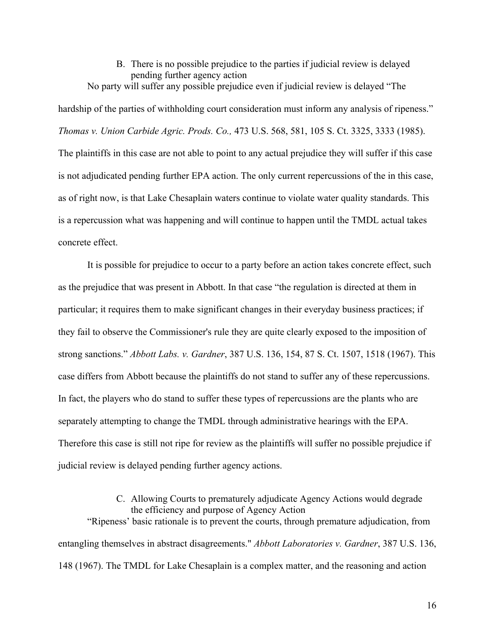#### B. There is no possible prejudice to the parties if judicial review is delayed pending further agency action No party will suffer any possible prejudice even if judicial review is delayed "The

hardship of the parties of withholding court consideration must inform any analysis of ripeness." *Thomas v. Union Carbide Agric. Prods. Co.,* 473 U.S. 568, 581, 105 S. Ct. 3325, 3333 (1985). The plaintiffs in this case are not able to point to any actual prejudice they will suffer if this case is not adjudicated pending further EPA action. The only current repercussions of the in this case, as of right now, is that Lake Chesaplain waters continue to violate water quality standards. This is a repercussion what was happening and will continue to happen until the TMDL actual takes concrete effect.

It is possible for prejudice to occur to a party before an action takes concrete effect, such as the prejudice that was present in Abbott. In that case "the regulation is directed at them in particular; it requires them to make significant changes in their everyday business practices; if they fail to observe the Commissioner's rule they are quite clearly exposed to the imposition of strong sanctions." *Abbott Labs. v. Gardner*, 387 U.S. 136, 154, 87 S. Ct. 1507, 1518 (1967). This case differs from Abbott because the plaintiffs do not stand to suffer any of these repercussions. In fact, the players who do stand to suffer these types of repercussions are the plants who are separately attempting to change the TMDL through administrative hearings with the EPA. Therefore this case is still not ripe for review as the plaintiffs will suffer no possible prejudice if judicial review is delayed pending further agency actions.

## C. Allowing Courts to prematurely adjudicate Agency Actions would degrade the efficiency and purpose of Agency Action

"Ripeness' basic rationale is to prevent the courts, through premature adjudication, from entangling themselves in abstract disagreements." *Abbott Laboratories v. Gardner*, 387 U.S. 136, 148 (1967). The TMDL for Lake Chesaplain is a complex matter, and the reasoning and action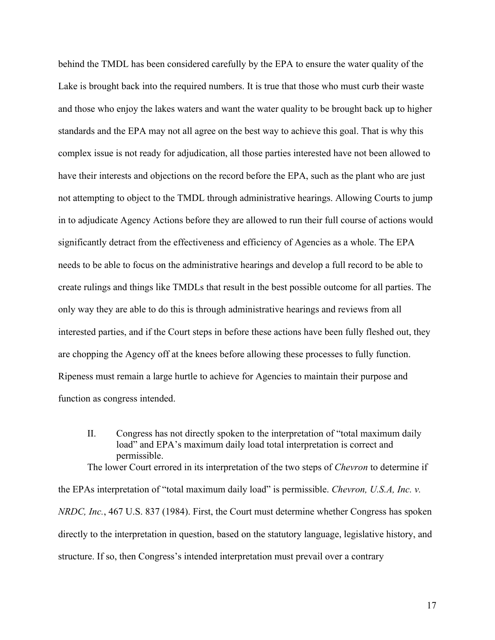behind the TMDL has been considered carefully by the EPA to ensure the water quality of the Lake is brought back into the required numbers. It is true that those who must curb their waste and those who enjoy the lakes waters and want the water quality to be brought back up to higher standards and the EPA may not all agree on the best way to achieve this goal. That is why this complex issue is not ready for adjudication, all those parties interested have not been allowed to have their interests and objections on the record before the EPA, such as the plant who are just not attempting to object to the TMDL through administrative hearings. Allowing Courts to jump in to adjudicate Agency Actions before they are allowed to run their full course of actions would significantly detract from the effectiveness and efficiency of Agencies as a whole. The EPA needs to be able to focus on the administrative hearings and develop a full record to be able to create rulings and things like TMDLs that result in the best possible outcome for all parties. The only way they are able to do this is through administrative hearings and reviews from all interested parties, and if the Court steps in before these actions have been fully fleshed out, they are chopping the Agency off at the knees before allowing these processes to fully function. Ripeness must remain a large hurtle to achieve for Agencies to maintain their purpose and function as congress intended.

II. Congress has not directly spoken to the interpretation of "total maximum daily load" and EPA's maximum daily load total interpretation is correct and permissible.

The lower Court errored in its interpretation of the two steps of *Chevron* to determine if

the EPAs interpretation of "total maximum daily load" is permissible. *Chevron, U.S.A, Inc. v. NRDC, Inc.*, 467 U.S. 837 (1984). First, the Court must determine whether Congress has spoken directly to the interpretation in question, based on the statutory language, legislative history, and structure. If so, then Congress's intended interpretation must prevail over a contrary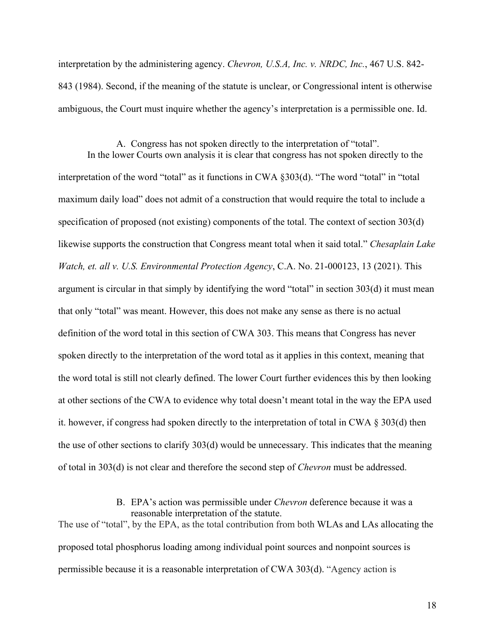interpretation by the administering agency. *Chevron, U.S.A, Inc. v. NRDC, Inc.*, 467 U.S. 842- 843 (1984). Second, if the meaning of the statute is unclear, or Congressional intent is otherwise ambiguous, the Court must inquire whether the agency's interpretation is a permissible one. Id.

A. Congress has not spoken directly to the interpretation of "total". In the lower Courts own analysis it is clear that congress has not spoken directly to the interpretation of the word "total" as it functions in CWA §303(d). "The word "total" in "total maximum daily load" does not admit of a construction that would require the total to include a specification of proposed (not existing) components of the total. The context of section 303(d) likewise supports the construction that Congress meant total when it said total." *Chesaplain Lake Watch, et. all v. U.S. Environmental Protection Agency*, C.A. No. 21-000123, 13 (2021). This argument is circular in that simply by identifying the word "total" in section 303(d) it must mean that only "total" was meant. However, this does not make any sense as there is no actual definition of the word total in this section of CWA 303. This means that Congress has never spoken directly to the interpretation of the word total as it applies in this context, meaning that the word total is still not clearly defined. The lower Court further evidences this by then looking at other sections of the CWA to evidence why total doesn't meant total in the way the EPA used it. however, if congress had spoken directly to the interpretation of total in CWA § 303(d) then the use of other sections to clarify 303(d) would be unnecessary. This indicates that the meaning of total in 303(d) is not clear and therefore the second step of *Chevron* must be addressed.

> B. EPA's action was permissible under *Chevron* deference because it was a reasonable interpretation of the statute.

The use of "total", by the EPA, as the total contribution from both WLAs and LAs allocating the proposed total phosphorus loading among individual point sources and nonpoint sources is permissible because it is a reasonable interpretation of CWA 303(d). "Agency action is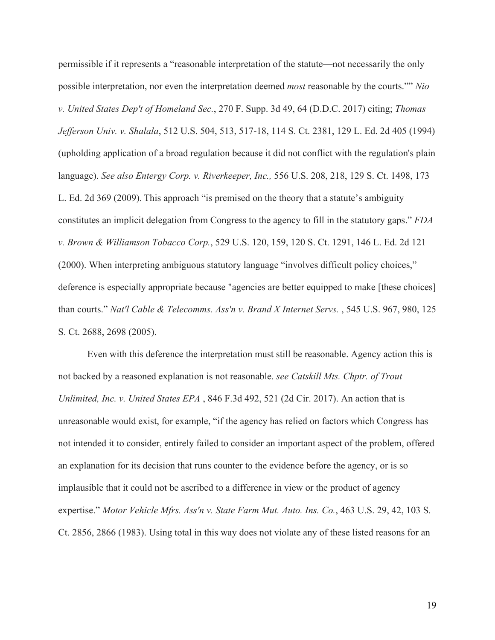permissible if it represents a "reasonable interpretation of the statute—not necessarily the only possible interpretation, nor even the interpretation deemed *most* reasonable by the courts."" *Nio v. United States Dep't of Homeland Sec.*, 270 F. Supp. 3d 49, 64 (D.D.C. 2017) citing; *Thomas Jefferson Univ. v. Shalala*, 512 U.S. 504, 513, 517-18, 114 S. Ct. 2381, 129 L. Ed. 2d 405 (1994) (upholding application of a broad regulation because it did not conflict with the regulation's plain language). *See also Entergy Corp. v. Riverkeeper, Inc.,* 556 U.S. 208, 218, 129 S. Ct. 1498, 173 L. Ed. 2d 369 (2009). This approach "is premised on the theory that a statute's ambiguity constitutes an implicit delegation from Congress to the agency to fill in the statutory gaps." *FDA v. Brown & Williamson Tobacco Corp.*, 529 U.S. 120, 159, 120 S. Ct. 1291, 146 L. Ed. 2d 121 (2000). When interpreting ambiguous statutory language "involves difficult policy choices," deference is especially appropriate because "agencies are better equipped to make [these choices] than courts." *Nat'l Cable & Telecomms. Ass'n v. Brand X Internet Servs.* , 545 U.S. 967, 980, 125 S. Ct. 2688, 2698 (2005).

Even with this deference the interpretation must still be reasonable. Agency action this is not backed by a reasoned explanation is not reasonable. *see Catskill Mts. Chptr. of Trout Unlimited, Inc. v. United States EPA* , 846 F.3d 492, 521 (2d Cir. 2017). An action that is unreasonable would exist, for example, "if the agency has relied on factors which Congress has not intended it to consider, entirely failed to consider an important aspect of the problem, offered an explanation for its decision that runs counter to the evidence before the agency, or is so implausible that it could not be ascribed to a difference in view or the product of agency expertise." *Motor Vehicle Mfrs. Ass'n v. State Farm Mut. Auto. Ins. Co.*, 463 U.S. 29, 42, 103 S. Ct. 2856, 2866 (1983). Using total in this way does not violate any of these listed reasons for an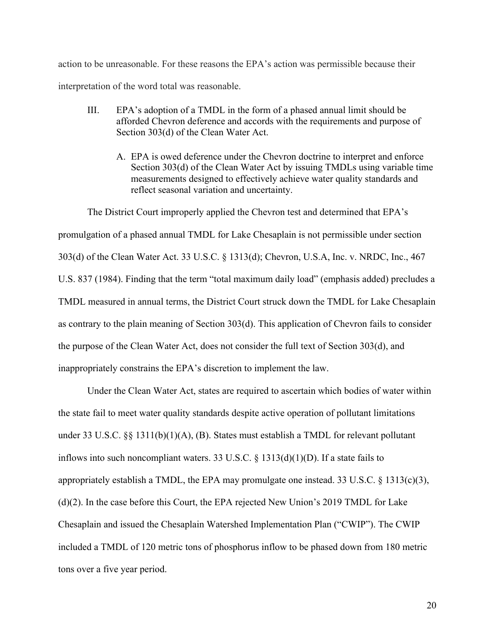action to be unreasonable. For these reasons the EPA's action was permissible because their interpretation of the word total was reasonable.

- III. EPA's adoption of a TMDL in the form of a phased annual limit should be afforded Chevron deference and accords with the requirements and purpose of Section 303(d) of the Clean Water Act.
	- A. EPA is owed deference under the Chevron doctrine to interpret and enforce Section 303(d) of the Clean Water Act by issuing TMDLs using variable time measurements designed to effectively achieve water quality standards and reflect seasonal variation and uncertainty.

The District Court improperly applied the Chevron test and determined that EPA's promulgation of a phased annual TMDL for Lake Chesaplain is not permissible under section 303(d) of the Clean Water Act. 33 U.S.C. § 1313(d); Chevron, U.S.A, Inc. v. NRDC, Inc., 467 U.S. 837 (1984). Finding that the term "total maximum daily load" (emphasis added) precludes a TMDL measured in annual terms, the District Court struck down the TMDL for Lake Chesaplain as contrary to the plain meaning of Section 303(d). This application of Chevron fails to consider the purpose of the Clean Water Act, does not consider the full text of Section 303(d), and inappropriately constrains the EPA's discretion to implement the law.

Under the Clean Water Act, states are required to ascertain which bodies of water within the state fail to meet water quality standards despite active operation of pollutant limitations under 33 U.S.C. §§ 1311(b)(1)(A), (B). States must establish a TMDL for relevant pollutant inflows into such noncompliant waters. 33 U.S.C. § 1313(d)(1)(D). If a state fails to appropriately establish a TMDL, the EPA may promulgate one instead. 33 U.S.C. § 1313(c)(3), (d)(2). In the case before this Court, the EPA rejected New Union's 2019 TMDL for Lake Chesaplain and issued the Chesaplain Watershed Implementation Plan ("CWIP"). The CWIP included a TMDL of 120 metric tons of phosphorus inflow to be phased down from 180 metric tons over a five year period.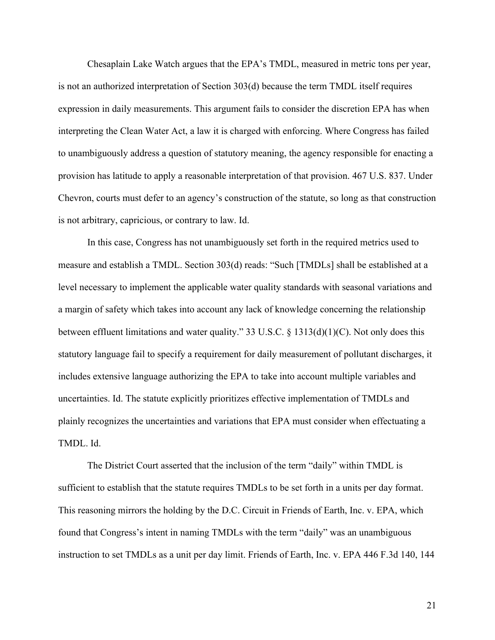Chesaplain Lake Watch argues that the EPA's TMDL, measured in metric tons per year, is not an authorized interpretation of Section 303(d) because the term TMDL itself requires expression in daily measurements. This argument fails to consider the discretion EPA has when interpreting the Clean Water Act, a law it is charged with enforcing. Where Congress has failed to unambiguously address a question of statutory meaning, the agency responsible for enacting a provision has latitude to apply a reasonable interpretation of that provision. 467 U.S. 837. Under Chevron, courts must defer to an agency's construction of the statute, so long as that construction is not arbitrary, capricious, or contrary to law. Id.

In this case, Congress has not unambiguously set forth in the required metrics used to measure and establish a TMDL. Section 303(d) reads: "Such [TMDLs] shall be established at a level necessary to implement the applicable water quality standards with seasonal variations and a margin of safety which takes into account any lack of knowledge concerning the relationship between effluent limitations and water quality." 33 U.S.C. § 1313(d)(1)(C). Not only does this statutory language fail to specify a requirement for daily measurement of pollutant discharges, it includes extensive language authorizing the EPA to take into account multiple variables and uncertainties. Id. The statute explicitly prioritizes effective implementation of TMDLs and plainly recognizes the uncertainties and variations that EPA must consider when effectuating a TMDL. Id.

The District Court asserted that the inclusion of the term "daily" within TMDL is sufficient to establish that the statute requires TMDLs to be set forth in a units per day format. This reasoning mirrors the holding by the D.C. Circuit in Friends of Earth, Inc. v. EPA, which found that Congress's intent in naming TMDLs with the term "daily" was an unambiguous instruction to set TMDLs as a unit per day limit. Friends of Earth, Inc. v. EPA 446 F.3d 140, 144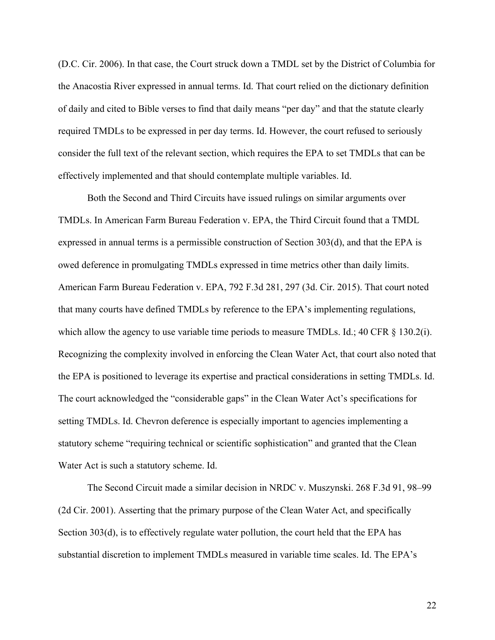(D.C. Cir. 2006). In that case, the Court struck down a TMDL set by the District of Columbia for the Anacostia River expressed in annual terms. Id. That court relied on the dictionary definition of daily and cited to Bible verses to find that daily means "per day" and that the statute clearly required TMDLs to be expressed in per day terms. Id. However, the court refused to seriously consider the full text of the relevant section, which requires the EPA to set TMDLs that can be effectively implemented and that should contemplate multiple variables. Id.

Both the Second and Third Circuits have issued rulings on similar arguments over TMDLs. In American Farm Bureau Federation v. EPA, the Third Circuit found that a TMDL expressed in annual terms is a permissible construction of Section 303(d), and that the EPA is owed deference in promulgating TMDLs expressed in time metrics other than daily limits. American Farm Bureau Federation v. EPA, 792 F.3d 281, 297 (3d. Cir. 2015). That court noted that many courts have defined TMDLs by reference to the EPA's implementing regulations, which allow the agency to use variable time periods to measure TMDLs. Id.; 40 CFR  $\S$  130.2(i). Recognizing the complexity involved in enforcing the Clean Water Act, that court also noted that the EPA is positioned to leverage its expertise and practical considerations in setting TMDLs. Id. The court acknowledged the "considerable gaps" in the Clean Water Act's specifications for setting TMDLs. Id. Chevron deference is especially important to agencies implementing a statutory scheme "requiring technical or scientific sophistication" and granted that the Clean Water Act is such a statutory scheme. Id.

The Second Circuit made a similar decision in NRDC v. Muszynski. 268 F.3d 91, 98–99 (2d Cir. 2001). Asserting that the primary purpose of the Clean Water Act, and specifically Section 303(d), is to effectively regulate water pollution, the court held that the EPA has substantial discretion to implement TMDLs measured in variable time scales. Id. The EPA's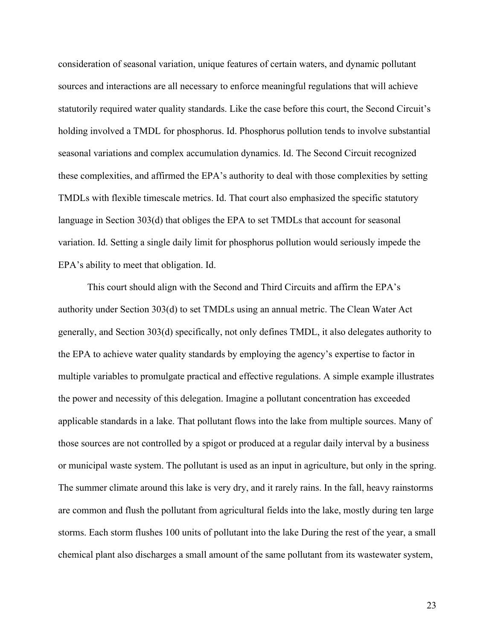consideration of seasonal variation, unique features of certain waters, and dynamic pollutant sources and interactions are all necessary to enforce meaningful regulations that will achieve statutorily required water quality standards. Like the case before this court, the Second Circuit's holding involved a TMDL for phosphorus. Id. Phosphorus pollution tends to involve substantial seasonal variations and complex accumulation dynamics. Id. The Second Circuit recognized these complexities, and affirmed the EPA's authority to deal with those complexities by setting TMDLs with flexible timescale metrics. Id. That court also emphasized the specific statutory language in Section 303(d) that obliges the EPA to set TMDLs that account for seasonal variation. Id. Setting a single daily limit for phosphorus pollution would seriously impede the EPA's ability to meet that obligation. Id.

This court should align with the Second and Third Circuits and affirm the EPA's authority under Section 303(d) to set TMDLs using an annual metric. The Clean Water Act generally, and Section 303(d) specifically, not only defines TMDL, it also delegates authority to the EPA to achieve water quality standards by employing the agency's expertise to factor in multiple variables to promulgate practical and effective regulations. A simple example illustrates the power and necessity of this delegation. Imagine a pollutant concentration has exceeded applicable standards in a lake. That pollutant flows into the lake from multiple sources. Many of those sources are not controlled by a spigot or produced at a regular daily interval by a business or municipal waste system. The pollutant is used as an input in agriculture, but only in the spring. The summer climate around this lake is very dry, and it rarely rains. In the fall, heavy rainstorms are common and flush the pollutant from agricultural fields into the lake, mostly during ten large storms. Each storm flushes 100 units of pollutant into the lake During the rest of the year, a small chemical plant also discharges a small amount of the same pollutant from its wastewater system,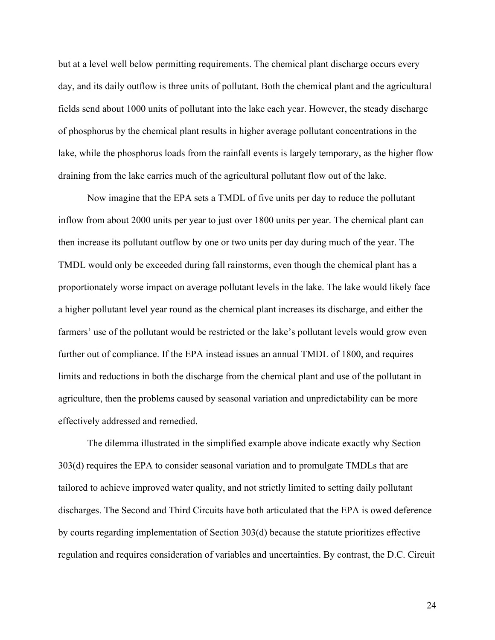but at a level well below permitting requirements. The chemical plant discharge occurs every day, and its daily outflow is three units of pollutant. Both the chemical plant and the agricultural fields send about 1000 units of pollutant into the lake each year. However, the steady discharge of phosphorus by the chemical plant results in higher average pollutant concentrations in the lake, while the phosphorus loads from the rainfall events is largely temporary, as the higher flow draining from the lake carries much of the agricultural pollutant flow out of the lake.

Now imagine that the EPA sets a TMDL of five units per day to reduce the pollutant inflow from about 2000 units per year to just over 1800 units per year. The chemical plant can then increase its pollutant outflow by one or two units per day during much of the year. The TMDL would only be exceeded during fall rainstorms, even though the chemical plant has a proportionately worse impact on average pollutant levels in the lake. The lake would likely face a higher pollutant level year round as the chemical plant increases its discharge, and either the farmers' use of the pollutant would be restricted or the lake's pollutant levels would grow even further out of compliance. If the EPA instead issues an annual TMDL of 1800, and requires limits and reductions in both the discharge from the chemical plant and use of the pollutant in agriculture, then the problems caused by seasonal variation and unpredictability can be more effectively addressed and remedied.

The dilemma illustrated in the simplified example above indicate exactly why Section 303(d) requires the EPA to consider seasonal variation and to promulgate TMDLs that are tailored to achieve improved water quality, and not strictly limited to setting daily pollutant discharges. The Second and Third Circuits have both articulated that the EPA is owed deference by courts regarding implementation of Section 303(d) because the statute prioritizes effective regulation and requires consideration of variables and uncertainties. By contrast, the D.C. Circuit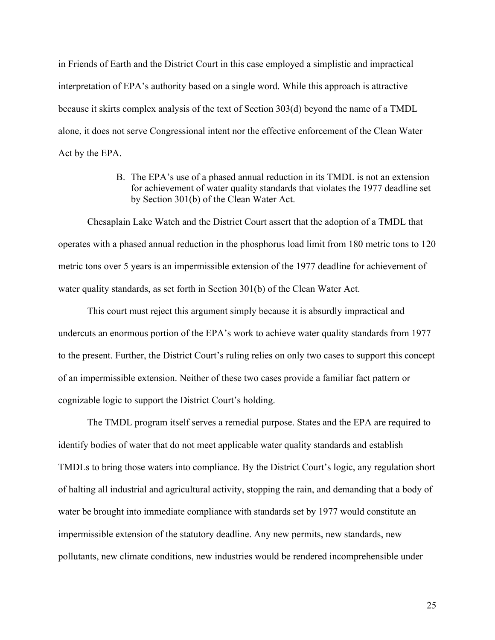in Friends of Earth and the District Court in this case employed a simplistic and impractical interpretation of EPA's authority based on a single word. While this approach is attractive because it skirts complex analysis of the text of Section 303(d) beyond the name of a TMDL alone, it does not serve Congressional intent nor the effective enforcement of the Clean Water Act by the EPA.

> B. The EPA's use of a phased annual reduction in its TMDL is not an extension for achievement of water quality standards that violates the 1977 deadline set by Section 301(b) of the Clean Water Act.

Chesaplain Lake Watch and the District Court assert that the adoption of a TMDL that operates with a phased annual reduction in the phosphorus load limit from 180 metric tons to 120 metric tons over 5 years is an impermissible extension of the 1977 deadline for achievement of water quality standards, as set forth in Section 301(b) of the Clean Water Act.

This court must reject this argument simply because it is absurdly impractical and undercuts an enormous portion of the EPA's work to achieve water quality standards from 1977 to the present. Further, the District Court's ruling relies on only two cases to support this concept of an impermissible extension. Neither of these two cases provide a familiar fact pattern or cognizable logic to support the District Court's holding.

The TMDL program itself serves a remedial purpose. States and the EPA are required to identify bodies of water that do not meet applicable water quality standards and establish TMDLs to bring those waters into compliance. By the District Court's logic, any regulation short of halting all industrial and agricultural activity, stopping the rain, and demanding that a body of water be brought into immediate compliance with standards set by 1977 would constitute an impermissible extension of the statutory deadline. Any new permits, new standards, new pollutants, new climate conditions, new industries would be rendered incomprehensible under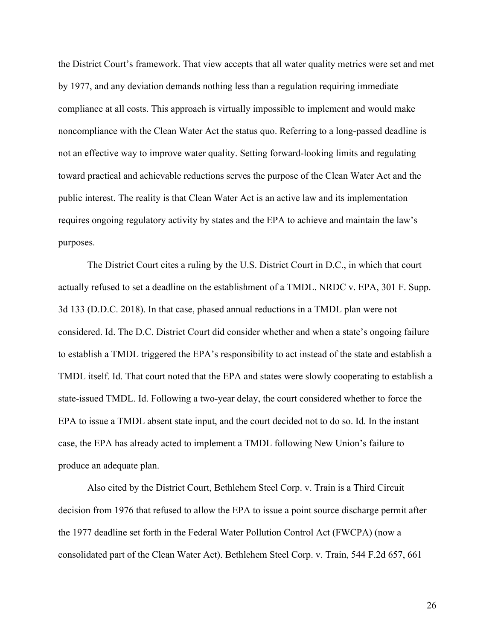the District Court's framework. That view accepts that all water quality metrics were set and met by 1977, and any deviation demands nothing less than a regulation requiring immediate compliance at all costs. This approach is virtually impossible to implement and would make noncompliance with the Clean Water Act the status quo. Referring to a long-passed deadline is not an effective way to improve water quality. Setting forward-looking limits and regulating toward practical and achievable reductions serves the purpose of the Clean Water Act and the public interest. The reality is that Clean Water Act is an active law and its implementation requires ongoing regulatory activity by states and the EPA to achieve and maintain the law's purposes.

The District Court cites a ruling by the U.S. District Court in D.C., in which that court actually refused to set a deadline on the establishment of a TMDL. NRDC v. EPA, 301 F. Supp. 3d 133 (D.D.C. 2018). In that case, phased annual reductions in a TMDL plan were not considered. Id. The D.C. District Court did consider whether and when a state's ongoing failure to establish a TMDL triggered the EPA's responsibility to act instead of the state and establish a TMDL itself. Id. That court noted that the EPA and states were slowly cooperating to establish a state-issued TMDL. Id. Following a two-year delay, the court considered whether to force the EPA to issue a TMDL absent state input, and the court decided not to do so. Id. In the instant case, the EPA has already acted to implement a TMDL following New Union's failure to produce an adequate plan.

Also cited by the District Court, Bethlehem Steel Corp. v. Train is a Third Circuit decision from 1976 that refused to allow the EPA to issue a point source discharge permit after the 1977 deadline set forth in the Federal Water Pollution Control Act (FWCPA) (now a consolidated part of the Clean Water Act). Bethlehem Steel Corp. v. Train, 544 F.2d 657, 661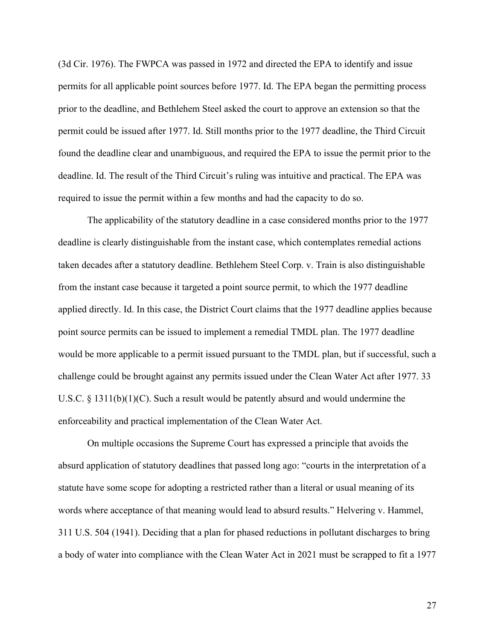(3d Cir. 1976). The FWPCA was passed in 1972 and directed the EPA to identify and issue permits for all applicable point sources before 1977. Id. The EPA began the permitting process prior to the deadline, and Bethlehem Steel asked the court to approve an extension so that the permit could be issued after 1977. Id. Still months prior to the 1977 deadline, the Third Circuit found the deadline clear and unambiguous, and required the EPA to issue the permit prior to the deadline. Id. The result of the Third Circuit's ruling was intuitive and practical. The EPA was required to issue the permit within a few months and had the capacity to do so.

The applicability of the statutory deadline in a case considered months prior to the 1977 deadline is clearly distinguishable from the instant case, which contemplates remedial actions taken decades after a statutory deadline. Bethlehem Steel Corp. v. Train is also distinguishable from the instant case because it targeted a point source permit, to which the 1977 deadline applied directly. Id. In this case, the District Court claims that the 1977 deadline applies because point source permits can be issued to implement a remedial TMDL plan. The 1977 deadline would be more applicable to a permit issued pursuant to the TMDL plan, but if successful, such a challenge could be brought against any permits issued under the Clean Water Act after 1977. 33 U.S.C.  $\S 1311(b)(1)(C)$ . Such a result would be patently absurd and would undermine the enforceability and practical implementation of the Clean Water Act.

On multiple occasions the Supreme Court has expressed a principle that avoids the absurd application of statutory deadlines that passed long ago: "courts in the interpretation of a statute have some scope for adopting a restricted rather than a literal or usual meaning of its words where acceptance of that meaning would lead to absurd results." Helvering v. Hammel, 311 U.S. 504 (1941). Deciding that a plan for phased reductions in pollutant discharges to bring a body of water into compliance with the Clean Water Act in 2021 must be scrapped to fit a 1977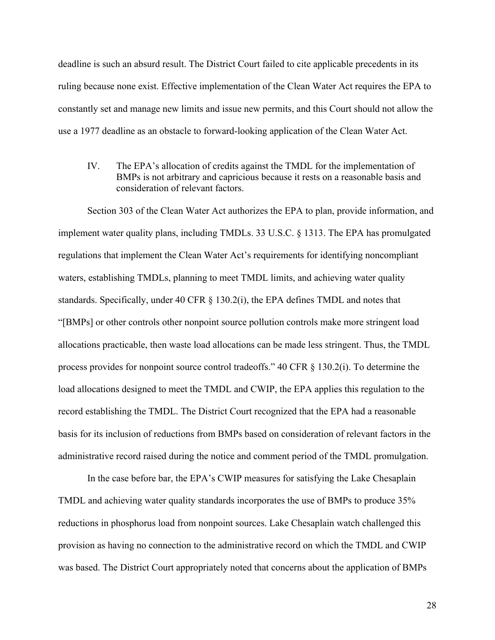deadline is such an absurd result. The District Court failed to cite applicable precedents in its ruling because none exist. Effective implementation of the Clean Water Act requires the EPA to constantly set and manage new limits and issue new permits, and this Court should not allow the use a 1977 deadline as an obstacle to forward-looking application of the Clean Water Act.

IV. The EPA's allocation of credits against the TMDL for the implementation of BMPs is not arbitrary and capricious because it rests on a reasonable basis and consideration of relevant factors.

Section 303 of the Clean Water Act authorizes the EPA to plan, provide information, and implement water quality plans, including TMDLs. 33 U.S.C. § 1313. The EPA has promulgated regulations that implement the Clean Water Act's requirements for identifying noncompliant waters, establishing TMDLs, planning to meet TMDL limits, and achieving water quality standards. Specifically, under 40 CFR § 130.2(i), the EPA defines TMDL and notes that "[BMPs] or other controls other nonpoint source pollution controls make more stringent load allocations practicable, then waste load allocations can be made less stringent. Thus, the TMDL process provides for nonpoint source control tradeoffs." 40 CFR § 130.2(i). To determine the load allocations designed to meet the TMDL and CWIP, the EPA applies this regulation to the record establishing the TMDL. The District Court recognized that the EPA had a reasonable basis for its inclusion of reductions from BMPs based on consideration of relevant factors in the administrative record raised during the notice and comment period of the TMDL promulgation.

In the case before bar, the EPA's CWIP measures for satisfying the Lake Chesaplain TMDL and achieving water quality standards incorporates the use of BMPs to produce 35% reductions in phosphorus load from nonpoint sources. Lake Chesaplain watch challenged this provision as having no connection to the administrative record on which the TMDL and CWIP was based. The District Court appropriately noted that concerns about the application of BMPs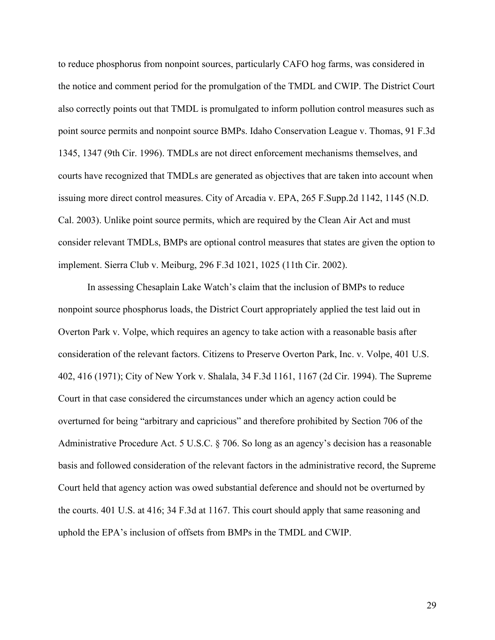to reduce phosphorus from nonpoint sources, particularly CAFO hog farms, was considered in the notice and comment period for the promulgation of the TMDL and CWIP. The District Court also correctly points out that TMDL is promulgated to inform pollution control measures such as point source permits and nonpoint source BMPs. Idaho Conservation League v. Thomas, 91 F.3d 1345, 1347 (9th Cir. 1996). TMDLs are not direct enforcement mechanisms themselves, and courts have recognized that TMDLs are generated as objectives that are taken into account when issuing more direct control measures. City of Arcadia v. EPA, 265 F.Supp.2d 1142, 1145 (N.D. Cal. 2003). Unlike point source permits, which are required by the Clean Air Act and must consider relevant TMDLs, BMPs are optional control measures that states are given the option to implement. Sierra Club v. Meiburg, 296 F.3d 1021, 1025 (11th Cir. 2002).

In assessing Chesaplain Lake Watch's claim that the inclusion of BMPs to reduce nonpoint source phosphorus loads, the District Court appropriately applied the test laid out in Overton Park v. Volpe, which requires an agency to take action with a reasonable basis after consideration of the relevant factors. Citizens to Preserve Overton Park, Inc. v. Volpe, 401 U.S. 402, 416 (1971); City of New York v. Shalala, 34 F.3d 1161, 1167 (2d Cir. 1994). The Supreme Court in that case considered the circumstances under which an agency action could be overturned for being "arbitrary and capricious" and therefore prohibited by Section 706 of the Administrative Procedure Act. 5 U.S.C. § 706. So long as an agency's decision has a reasonable basis and followed consideration of the relevant factors in the administrative record, the Supreme Court held that agency action was owed substantial deference and should not be overturned by the courts. 401 U.S. at 416; 34 F.3d at 1167. This court should apply that same reasoning and uphold the EPA's inclusion of offsets from BMPs in the TMDL and CWIP.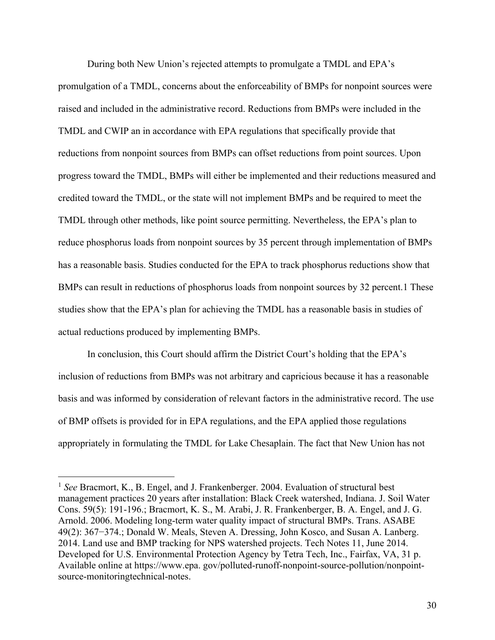During both New Union's rejected attempts to promulgate a TMDL and EPA's promulgation of a TMDL, concerns about the enforceability of BMPs for nonpoint sources were raised and included in the administrative record. Reductions from BMPs were included in the TMDL and CWIP an in accordance with EPA regulations that specifically provide that reductions from nonpoint sources from BMPs can offset reductions from point sources. Upon progress toward the TMDL, BMPs will either be implemented and their reductions measured and credited toward the TMDL, or the state will not implement BMPs and be required to meet the TMDL through other methods, like point source permitting. Nevertheless, the EPA's plan to reduce phosphorus loads from nonpoint sources by 35 percent through implementation of BMPs has a reasonable basis. Studies conducted for the EPA to track phosphorus reductions show that BMPs can result in reductions of phosphorus loads from nonpoint sources by 32 percent.1 These studies show that the EPA's plan for achieving the TMDL has a reasonable basis in studies of actual reductions produced by implementing BMPs.

In conclusion, this Court should affirm the District Court's holding that the EPA's inclusion of reductions from BMPs was not arbitrary and capricious because it has a reasonable basis and was informed by consideration of relevant factors in the administrative record. The use of BMP offsets is provided for in EPA regulations, and the EPA applied those regulations appropriately in formulating the TMDL for Lake Chesaplain. The fact that New Union has not

<sup>&</sup>lt;sup>1</sup> See Bracmort, K., B. Engel, and J. Frankenberger. 2004. Evaluation of structural best management practices 20 years after installation: Black Creek watershed, Indiana. J. Soil Water Cons. 59(5): 191-196.; Bracmort, K. S., M. Arabi, J. R. Frankenberger, B. A. Engel, and J. G. Arnold. 2006. Modeling long-term water quality impact of structural BMPs. Trans. ASABE 49(2): 367−374.; Donald W. Meals, Steven A. Dressing, John Kosco, and Susan A. Lanberg. 2014. Land use and BMP tracking for NPS watershed projects. Tech Notes 11, June 2014. Developed for U.S. Environmental Protection Agency by Tetra Tech, Inc., Fairfax, VA, 31 p. Available online at https://www.epa. gov/polluted-runoff-nonpoint-source-pollution/nonpointsource-monitoringtechnical-notes.